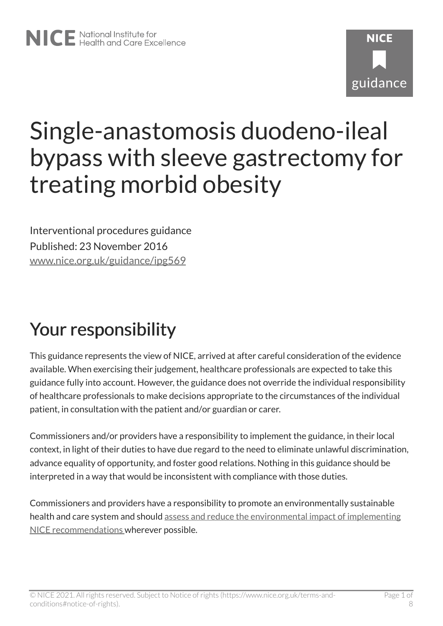# **NICF** guidance

# Single-anastomosis duodeno-ileal bypass with sleeve gastrectomy for treating morbid obesity

Interventional procedures guidance Published: 23 November 2016 [www.nice.org.uk/guidance/ipg569](https://www.nice.org.uk/guidance/ipg569) 

## Your responsibility

This guidance represents the view of NICE, arrived at after careful consideration of the evidence available. When exercising their judgement, healthcare professionals are expected to take this guidance fully into account. However, the guidance does not override the individual responsibility of healthcare professionals to make decisions appropriate to the circumstances of the individual patient, in consultation with the patient and/or guardian or carer.

Commissioners and/or providers have a responsibility to implement the guidance, in their local context, in light of their duties to have due regard to the need to eliminate unlawful discrimination, advance equality of opportunity, and foster good relations. Nothing in this guidance should be interpreted in a way that would be inconsistent with compliance with those duties.

Commissioners and providers have a responsibility to promote an environmentally sustainable health and care system and should [assess and reduce the environmental impact of implementing](https://www.nice.org.uk/about/who-we-are/sustainability)  [NICE recommendations w](https://www.nice.org.uk/about/who-we-are/sustainability)herever possible.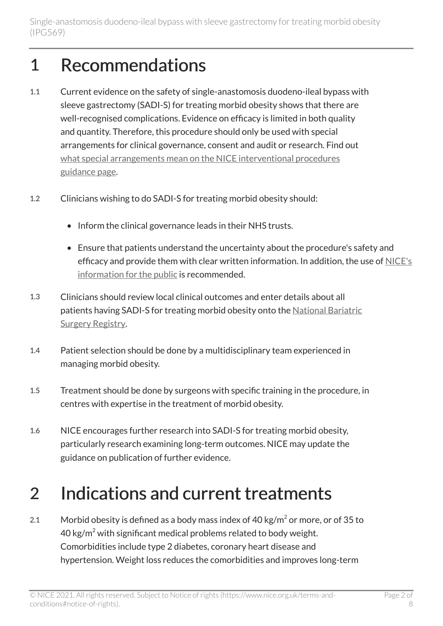#### 1 Recommendations

- 1.1 Current evidence on the safety of single-anastomosis duodeno-ileal bypass with sleeve gastrectomy (SADI-S) for treating morbid obesity shows that there are well-recognised complications. Evidence on efficacy is limited in both quality and quantity. Therefore, this procedure should only be used with special arrangements for clinical governance, consent and audit or research. Find out [what special arrangements mean on the NICE interventional procedures](https://www.nice.org.uk/about/what-we-do/our-programmes/nice-guidance/interventional-procedures-guidance/recommendations) [guidance page.](https://www.nice.org.uk/about/what-we-do/our-programmes/nice-guidance/interventional-procedures-guidance/recommendations)
- 1.2 Clinicians wishing to do SADI-S for treating morbid obesity should:
	- Inform the clinical governance leads in their NHS trusts.
	- Ensure that patients understand the uncertainty about the procedure's safety and efficacy and provide them with clear written information. In addition, the use of [NICE's](https://www.nice.org.uk/guidance/ipg569/ifp/chapter/What-has-NICE-said)  [information for the public](https://www.nice.org.uk/guidance/ipg569/ifp/chapter/What-has-NICE-said) is recommended.
- 1.3 Clinicians should review local clinical outcomes and enter details about all patients having SADI-S for treating morbid obesity onto the [National Bariatric](http://nbsr2.e-dendrite.com/)  [Surgery Registry.](http://nbsr2.e-dendrite.com/)
- 1.4 Patient selection should be done by a multidisciplinary team experienced in managing morbid obesity.
- 1.5 Treatment should be done by surgeons with specific training in the procedure, in centres with expertise in the treatment of morbid obesity.
- 1.6 NICE encourages further research into SADI-S for treating morbid obesity, particularly research examining long-term outcomes. NICE may update the guidance on publication of further evidence.

### 2 Indications and current treatments

2.1 Morbid obesity is defined as a body mass index of 40 kg/m $^2$  or more, or of 35 to 40 kg/m<sup>2</sup> with significant medical problems related to body weight. Comorbidities include type 2 diabetes, coronary heart disease and hypertension. Weight loss reduces the comorbidities and improves long-term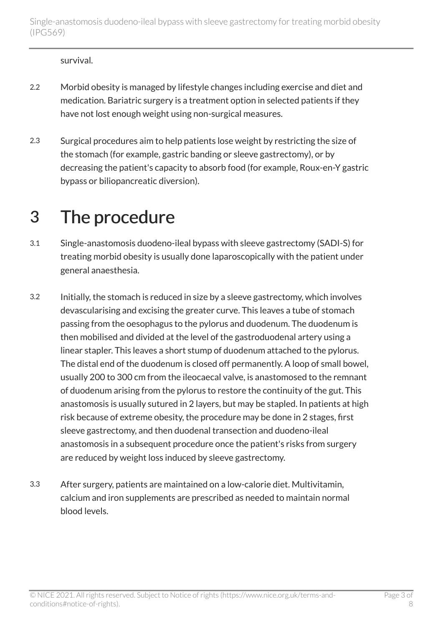survival.

- 2.2 Morbid obesity is managed by lifestyle changes including exercise and diet and medication. Bariatric surgery is a treatment option in selected patients if they have not lost enough weight using non-surgical measures.
- 2.3 Surgical procedures aim to help patients lose weight by restricting the size of the stomach (for example, gastric banding or sleeve gastrectomy), or by decreasing the patient's capacity to absorb food (for example, Roux-en-Y gastric bypass or biliopancreatic diversion).

#### 3 The procedure

- 3.1 Single-anastomosis duodeno-ileal bypass with sleeve gastrectomy (SADI-S) for treating morbid obesity is usually done laparoscopically with the patient under general anaesthesia.
- 3.2 Initially, the stomach is reduced in size by a sleeve gastrectomy, which involves devascularising and excising the greater curve. This leaves a tube of stomach passing from the oesophagus to the pylorus and duodenum. The duodenum is then mobilised and divided at the level of the gastroduodenal artery using a linear stapler. This leaves a short stump of duodenum attached to the pylorus. The distal end of the duodenum is closed off permanently. A loop of small bowel, usually 200 to 300 cm from the ileocaecal valve, is anastomosed to the remnant of duodenum arising from the pylorus to restore the continuity of the gut. This anastomosis is usually sutured in 2 layers, but may be stapled. In patients at high risk because of extreme obesity, the procedure may be done in 2 stages, first sleeve gastrectomy, and then duodenal transection and duodeno-ileal anastomosis in a subsequent procedure once the patient's risks from surgery are reduced by weight loss induced by sleeve gastrectomy.
- 3.3 After surgery, patients are maintained on a low-calorie diet. Multivitamin, calcium and iron supplements are prescribed as needed to maintain normal blood levels.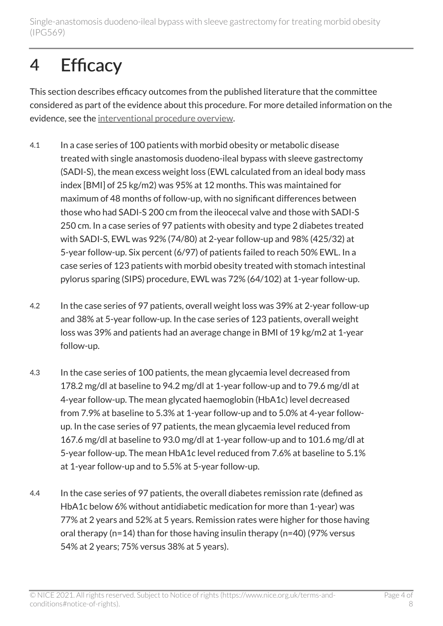Single-anastomosis duodeno-ileal bypass with sleeve gastrectomy for treating morbid obesity (IPG569)

#### 4 Efficacy

This section describes efficacy outcomes from the published literature that the committee considered as part of the evidence about this procedure. For more detailed information on the evidence, see the [interventional procedure overview](https://www.nice.org.uk/guidance/ipg569/documents).

- 4.1 In a case series of 100 patients with morbid obesity or metabolic disease treated with single anastomosis duodeno-ileal bypass with sleeve gastrectomy (SADI-S), the mean excess weight loss (EWL calculated from an ideal body mass index [BMI] of 25 kg/m2) was 95% at 12 months. This was maintained for maximum of 48 months of follow-up, with no significant differences between those who had SADI-S 200 cm from the ileocecal valve and those with SADI-S 250 cm. In a case series of 97 patients with obesity and type 2 diabetes treated with SADI-S, EWL was 92% (74/80) at 2-year follow-up and 98% (425/32) at 5-year follow-up. Six percent (6/97) of patients failed to reach 50% EWL. In a case series of 123 patients with morbid obesity treated with stomach intestinal pylorus sparing (SIPS) procedure, EWL was 72% (64/102) at 1-year follow-up.
- 4.2 In the case series of 97 patients, overall weight loss was 39% at 2-year follow-up and 38% at 5-year follow-up. In the case series of 123 patients, overall weight loss was 39% and patients had an average change in BMI of 19 kg/m2 at 1-year follow-up.
- 4.3 In the case series of 100 patients, the mean glycaemia level decreased from 178.2 mg/dl at baseline to 94.2 mg/dl at 1-year follow-up and to 79.6 mg/dl at 4-year follow-up. The mean glycated haemoglobin (HbA1c) level decreased from 7.9% at baseline to 5.3% at 1-year follow-up and to 5.0% at 4-year followup. In the case series of 97 patients, the mean glycaemia level reduced from 167.6 mg/dl at baseline to 93.0 mg/dl at 1-year follow-up and to 101.6 mg/dl at 5-year follow-up. The mean HbA1c level reduced from 7.6% at baseline to 5.1% at 1-year follow-up and to 5.5% at 5-year follow-up.
- 4.4 In the case series of 97 patients, the overall diabetes remission rate (defined as HbA1c below 6% without antidiabetic medication for more than 1-year) was 77% at 2 years and 52% at 5 years. Remission rates were higher for those having oral therapy (n=14) than for those having insulin therapy (n=40) (97% versus 54% at 2 years; 75% versus 38% at 5 years).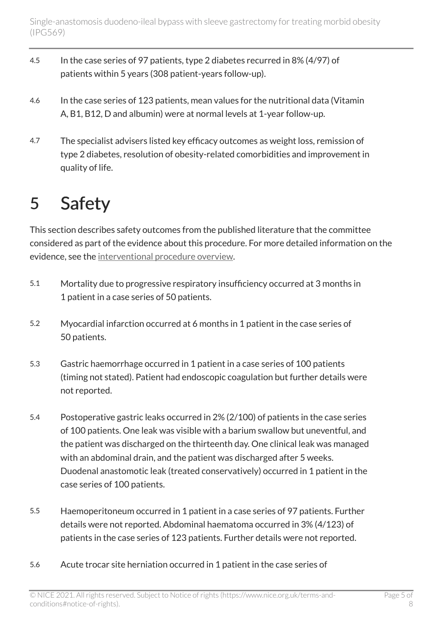- 4.5 In the case series of 97 patients, type 2 diabetes recurred in 8% (4/97) of patients within 5 years (308 patient-years follow-up).
- 4.6 In the case series of 123 patients, mean values for the nutritional data (Vitamin A, B1, B12, D and albumin) were at normal levels at 1-year follow-up.
- 4.7 The specialist advisers listed key efficacy outcomes as weight loss, remission of type 2 diabetes, resolution of obesity-related comorbidities and improvement in quality of life.

#### 5 Safety

This section describes safety outcomes from the published literature that the committee considered as part of the evidence about this procedure. For more detailed information on the evidence, see the [interventional procedure overview](https://www.nice.org.uk/guidance/ipg569/documents).

- 5.1 Mortality due to progressive respiratory insufficiency occurred at 3 months in 1 patient in a case series of 50 patients.
- 5.2 Myocardial infarction occurred at 6 months in 1 patient in the case series of 50 patients.
- 5.3 Gastric haemorrhage occurred in 1 patient in a case series of 100 patients (timing not stated). Patient had endoscopic coagulation but further details were not reported.
- 5.4 Postoperative gastric leaks occurred in 2% (2/100) of patients in the case series of 100 patients. One leak was visible with a barium swallow but uneventful, and the patient was discharged on the thirteenth day. One clinical leak was managed with an abdominal drain, and the patient was discharged after 5 weeks. Duodenal anastomotic leak (treated conservatively) occurred in 1 patient in the case series of 100 patients.
- 5.5 Haemoperitoneum occurred in 1 patient in a case series of 97 patients. Further details were not reported. Abdominal haematoma occurred in 3% (4/123) of patients in the case series of 123 patients. Further details were not reported.
- 5.6 Acute trocar site herniation occurred in 1 patient in the case series of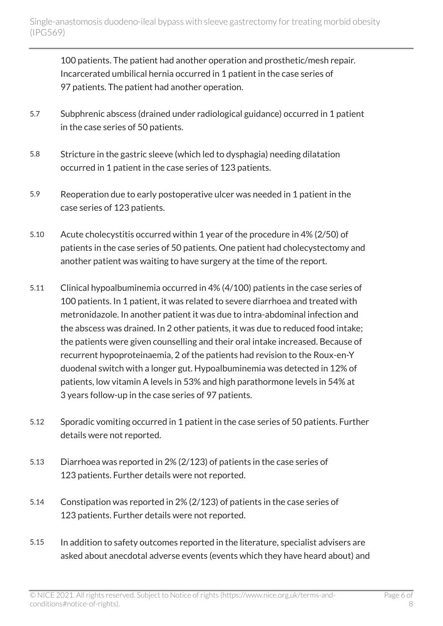100 patients. The patient had another operation and prosthetic/mesh repair. Incarcerated umbilical hernia occurred in 1 patient in the case series of 97 patients. The patient had another operation.

- 5.7 Subphrenic abscess (drained under radiological guidance) occurred in 1 patient in the case series of 50 patients.
- 5.8 Stricture in the gastric sleeve (which led to dysphagia) needing dilatation occurred in 1 patient in the case series of 123 patients.
- 5.9 Reoperation due to early postoperative ulcer was needed in 1 patient in the case series of 123 patients.
- 5.10 Acute cholecystitis occurred within 1 year of the procedure in 4% (2/50) of patients in the case series of 50 patients. One patient had cholecystectomy and another patient was waiting to have surgery at the time of the report.
- 5.11 Clinical hypoalbuminemia occurred in 4% (4/100) patients in the case series of 100 patients. In 1 patient, it was related to severe diarrhoea and treated with metronidazole. In another patient it was due to intra-abdominal infection and the abscess was drained. In 2 other patients, it was due to reduced food intake; the patients were given counselling and their oral intake increased. Because of recurrent hypoproteinaemia, 2 of the patients had revision to the Roux-en-Y duodenal switch with a longer gut. Hypoalbuminemia was detected in 12% of patients, low vitamin A levels in 53% and high parathormone levels in 54% at 3 years follow-up in the case series of 97 patients.
- 5.12 Sporadic vomiting occurred in 1 patient in the case series of 50 patients. Further details were not reported.
- 5.13 Diarrhoea was reported in 2% (2/123) of patients in the case series of 123 patients. Further details were not reported.
- 5.14 Constipation was reported in 2% (2/123) of patients in the case series of 123 patients. Further details were not reported.
- 5.15 In addition to safety outcomes reported in the literature, specialist advisers are asked about anecdotal adverse events (events which they have heard about) and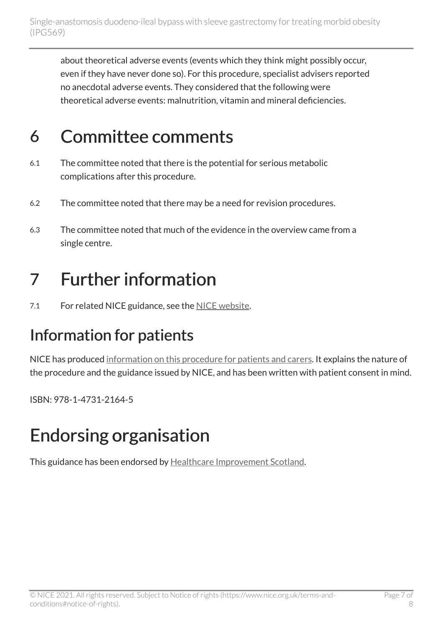about theoretical adverse events (events which they think might possibly occur, even if they have never done so). For this procedure, specialist advisers reported no anecdotal adverse events. They considered that the following were theoretical adverse events: malnutrition, vitamin and mineral deficiencies.

#### 6 Committee comments

- 6.1 The committee noted that there is the potential for serious metabolic complications after this procedure.
- 6.2 The committee noted that there may be a need for revision procedures.
- 6.3 The committee noted that much of the evidence in the overview came from a single centre.

#### 7 Further information

7.1 For related NICE guidance, see the [NICE website](https://www.nice.org.uk/).

#### Information for patients

NICE has produced [information on this procedure for patients and carers](https://www.nice.org.uk/guidance/ipg569/ifp/chapter/What-has-NICE-said). It explains the nature of the procedure and the guidance issued by NICE, and has been written with patient consent in mind.

ISBN: 978-1-4731-2164-5

#### Endorsing organisation

This guidance has been endorsed by [Healthcare Improvement Scotland.](http://www.healthcareimprovementscotland.org/)